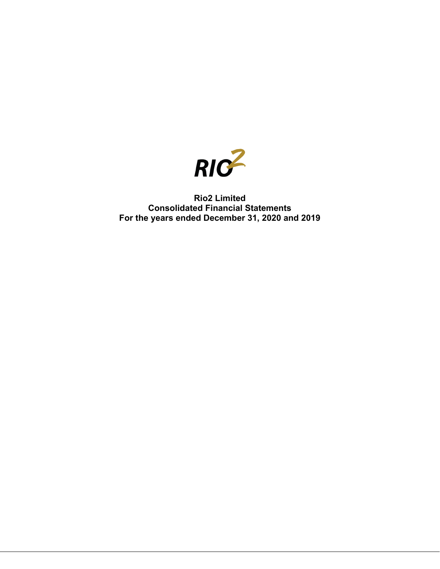

# **Rio2 Limited Consolidated Financial Statements For the years ended December 31, 2020 and 2019**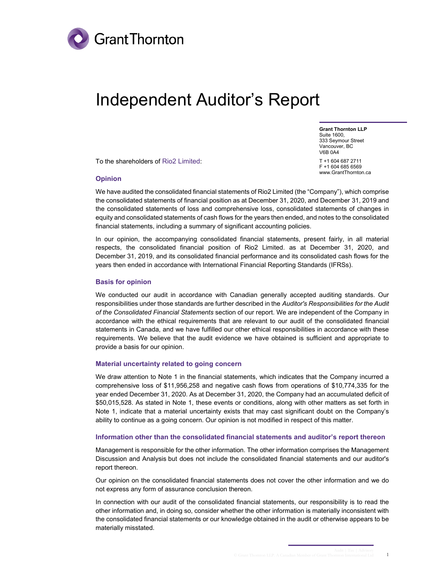

# Independent Auditor's Report

**Grant Thornton LLP** Suite 1600, 333 Seymour Street Vancouver, BC V6B 0A4 T +1 604 687 2711 F +1 604 685 6569

www.GrantThornton.ca

To the shareholders of Rio2 Limited:

**Opinion**

We have audited the consolidated financial statements of Rio2 Limited (the "Company"), which comprise the consolidated statements of financial position as at December 31, 2020, and December 31, 2019 and the consolidated statements of loss and comprehensive loss, consolidated statements of changes in equity and consolidated statements of cash flows for the years then ended, and notes to the consolidated financial statements, including a summary of significant accounting policies.

In our opinion, the accompanying consolidated financial statements, present fairly, in all material respects, the consolidated financial position of Rio2 Limited. as at December 31, 2020, and December 31, 2019, and its consolidated financial performance and its consolidated cash flows for the years then ended in accordance with International Financial Reporting Standards (IFRSs).

#### **Basis for opinion**

We conducted our audit in accordance with Canadian generally accepted auditing standards. Our responsibilities under those standards are further described in the *Auditor's Responsibilities for the Audit of the Consolidated Financial Statements* section of our report. We are independent of the Company in accordance with the ethical requirements that are relevant to our audit of the consolidated financial statements in Canada, and we have fulfilled our other ethical responsibilities in accordance with these requirements. We believe that the audit evidence we have obtained is sufficient and appropriate to provide a basis for our opinion.

#### **Material uncertainty related to going concern**

We draw attention to Note 1 in the financial statements, which indicates that the Company incurred a comprehensive loss of \$11,956,258 and negative cash flows from operations of \$10,774,335 for the year ended December 31, 2020. As at December 31, 2020, the Company had an accumulated deficit of \$50,015,528. As stated in Note 1, these events or conditions, along with other matters as set forth in Note 1, indicate that a material uncertainty exists that may cast significant doubt on the Company's ability to continue as a going concern. Our opinion is not modified in respect of this matter.

#### **Information other than the consolidated financial statements and auditor's report thereon**

Management is responsible for the other information. The other information comprises the Management Discussion and Analysis but does not include the consolidated financial statements and our auditor's report thereon.

Our opinion on the consolidated financial statements does not cover the other information and we do not express any form of assurance conclusion thereon.

In connection with our audit of the consolidated financial statements, our responsibility is to read the other information and, in doing so, consider whether the other information is materially inconsistent with the consolidated financial statements or our knowledge obtained in the audit or otherwise appears to be materially misstated.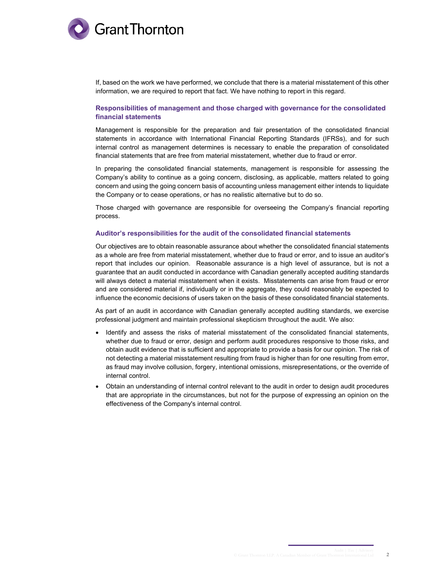

If, based on the work we have performed, we conclude that there is a material misstatement of this other information, we are required to report that fact. We have nothing to report in this regard.

#### **Responsibilities of management and those charged with governance for the consolidated financial statements**

Management is responsible for the preparation and fair presentation of the consolidated financial statements in accordance with International Financial Reporting Standards (IFRSs), and for such internal control as management determines is necessary to enable the preparation of consolidated financial statements that are free from material misstatement, whether due to fraud or error.

In preparing the consolidated financial statements, management is responsible for assessing the Company's ability to continue as a going concern, disclosing, as applicable, matters related to going concern and using the going concern basis of accounting unless management either intends to liquidate the Company or to cease operations, or has no realistic alternative but to do so.

Those charged with governance are responsible for overseeing the Company's financial reporting process.

#### **Auditor's responsibilities for the audit of the consolidated financial statements**

Our objectives are to obtain reasonable assurance about whether the consolidated financial statements as a whole are free from material misstatement, whether due to fraud or error, and to issue an auditor's report that includes our opinion. Reasonable assurance is a high level of assurance, but is not a guarantee that an audit conducted in accordance with Canadian generally accepted auditing standards will always detect a material misstatement when it exists. Misstatements can arise from fraud or error and are considered material if, individually or in the aggregate, they could reasonably be expected to influence the economic decisions of users taken on the basis of these consolidated financial statements.

As part of an audit in accordance with Canadian generally accepted auditing standards, we exercise professional judgment and maintain professional skepticism throughout the audit. We also:

- Identify and assess the risks of material misstatement of the consolidated financial statements, whether due to fraud or error, design and perform audit procedures responsive to those risks, and obtain audit evidence that is sufficient and appropriate to provide a basis for our opinion. The risk of not detecting a material misstatement resulting from fraud is higher than for one resulting from error, as fraud may involve collusion, forgery, intentional omissions, misrepresentations, or the override of internal control.
- Obtain an understanding of internal control relevant to the audit in order to design audit procedures that are appropriate in the circumstances, but not for the purpose of expressing an opinion on the effectiveness of the Company's internal control.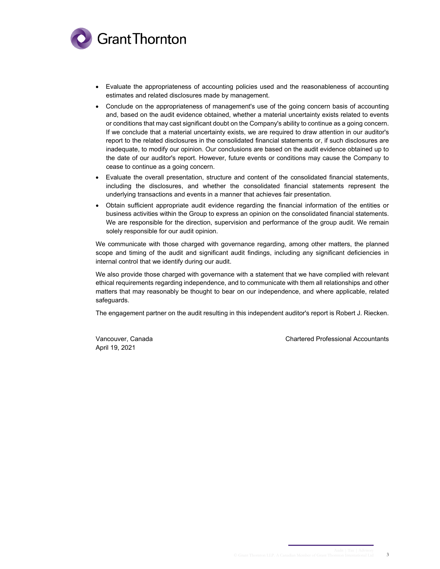

- Evaluate the appropriateness of accounting policies used and the reasonableness of accounting estimates and related disclosures made by management.
- Conclude on the appropriateness of management's use of the going concern basis of accounting and, based on the audit evidence obtained, whether a material uncertainty exists related to events or conditions that may cast significant doubt on the Company's ability to continue as a going concern. If we conclude that a material uncertainty exists, we are required to draw attention in our auditor's report to the related disclosures in the consolidated financial statements or, if such disclosures are inadequate, to modify our opinion. Our conclusions are based on the audit evidence obtained up to the date of our auditor's report. However, future events or conditions may cause the Company to cease to continue as a going concern.
- Evaluate the overall presentation, structure and content of the consolidated financial statements, including the disclosures, and whether the consolidated financial statements represent the underlying transactions and events in a manner that achieves fair presentation.
- Obtain sufficient appropriate audit evidence regarding the financial information of the entities or business activities within the Group to express an opinion on the consolidated financial statements. We are responsible for the direction, supervision and performance of the group audit. We remain solely responsible for our audit opinion.

We communicate with those charged with governance regarding, among other matters, the planned scope and timing of the audit and significant audit findings, including any significant deficiencies in internal control that we identify during our audit.

We also provide those charged with governance with a statement that we have complied with relevant ethical requirements regarding independence, and to communicate with them all relationships and other matters that may reasonably be thought to bear on our independence, and where applicable, related safeguards.

The engagement partner on the audit resulting in this independent auditor's report is Robert J. Riecken.

April 19, 2021

Vancouver, Canada Chartered Professional Accountants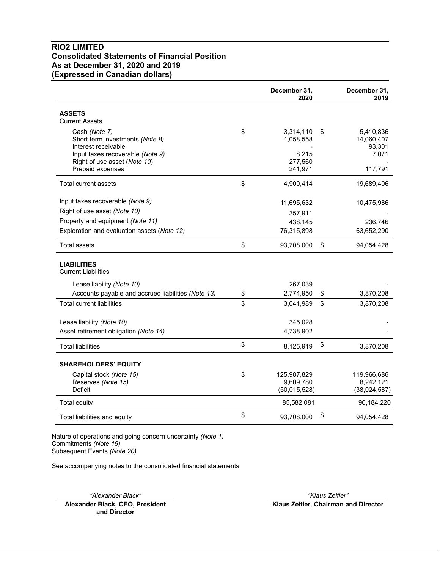# **RIO2 LIMITED Consolidated Statements of Financial Position As at December 31, 2020 and 2019 (Expressed in Canadian dollars)**

|                                                                                                                                                                 | December 31,<br>2020                                        | December 31,<br>2019                                        |
|-----------------------------------------------------------------------------------------------------------------------------------------------------------------|-------------------------------------------------------------|-------------------------------------------------------------|
| <b>ASSETS</b><br><b>Current Assets</b>                                                                                                                          |                                                             |                                                             |
| Cash (Note 7)<br>Short term investments (Note 8)<br>Interest receivable<br>Input taxes recoverable (Note 9)<br>Right of use asset (Note 10)<br>Prepaid expenses | \$<br>3,314,110<br>1,058,558<br>8,215<br>277,560<br>241,971 | \$<br>5,410,836<br>14,060,407<br>93,301<br>7,071<br>117,791 |
| Total current assets                                                                                                                                            | \$<br>4,900,414                                             | 19,689,406                                                  |
| Input taxes recoverable (Note 9)<br>Right of use asset (Note 10)<br>Property and equipment (Note 11)<br>Exploration and evaluation assets (Note 12)             | 11,695,632<br>357,911<br>438,145<br>76,315,898              | 10,475,986<br>236,746<br>63,652,290                         |
| Total assets                                                                                                                                                    | \$<br>93,708,000                                            | \$<br>94,054,428                                            |
| <b>LIABILITIES</b><br><b>Current Liabilities</b><br>Lease liability (Note 10)                                                                                   | 267,039                                                     |                                                             |
| Accounts payable and accrued liabilities (Note 13)                                                                                                              | \$<br>2,774,950                                             | \$<br>3,870,208                                             |
| <b>Total current liabilities</b>                                                                                                                                | \$<br>3,041,989                                             | \$<br>3,870,208                                             |
| Lease liability (Note 10)<br>Asset retirement obligation (Note 14)                                                                                              | 345,028<br>4,738,902                                        |                                                             |
| <b>Total liabilities</b>                                                                                                                                        | \$<br>8,125,919                                             | \$<br>3,870,208                                             |
| <b>SHAREHOLDERS' EQUITY</b>                                                                                                                                     |                                                             |                                                             |
| Capital stock (Note 15)<br>Reserves (Note 15)<br>Deficit                                                                                                        | \$<br>125,987,829<br>9,609,780<br>(50,015,528)              | 119,966,686<br>8,242,121<br>(38,024,587)                    |
| Total equity                                                                                                                                                    | 85,582,081                                                  | 90,184,220                                                  |
| Total liabilities and equity                                                                                                                                    | \$<br>93,708,000                                            | \$<br>94,054,428                                            |

Nature of operations and going concern uncertainty *(Note 1)* Commitments *(Note 19)* Subsequent Events *(Note 20)*

See accompanying notes to the consolidated financial statements

*"Alexander Black" "Klaus Zeitler"*

**Alexander Black, CEO, President and Director**

**Klaus Zeitler, Chairman and Director**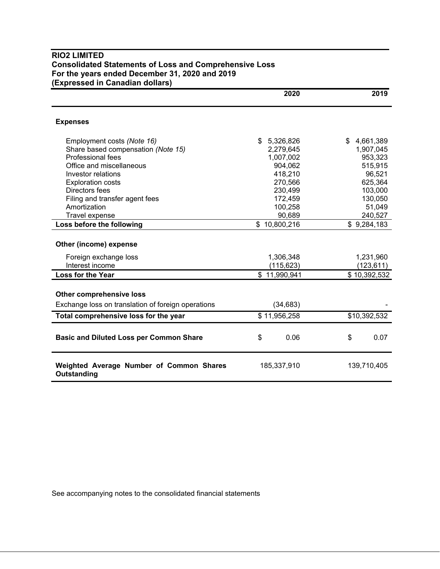# **RIO2 LIMITED Consolidated Statements of Loss and Comprehensive Loss For the years ended December 31, 2020 and 2019 (Expressed in Canadian dollars)**

|                                                         | 2020              | 2019              |
|---------------------------------------------------------|-------------------|-------------------|
| <b>Expenses</b>                                         |                   |                   |
| Employment costs (Note 16)                              | 5,326,826<br>\$   | \$4,661,389       |
| Share based compensation (Note 15)                      | 2,279,645         | 1,907,045         |
| Professional fees                                       | 1,007,002         | 953,323           |
| Office and miscellaneous                                | 904,062           | 515,915           |
| Investor relations                                      | 418,210           | 96,521            |
| <b>Exploration costs</b>                                | 270,566           | 625,364           |
| Directors fees                                          | 230,499           | 103,000           |
| Filing and transfer agent fees                          | 172,459           | 130,050           |
| Amortization<br>Travel expense                          | 100,258<br>90,689 | 51,049<br>240,527 |
|                                                         | \$10,800,216      |                   |
| Loss before the following                               |                   | \$9,284,183       |
| Other (income) expense                                  |                   |                   |
| Foreign exchange loss                                   | 1,306,348         | 1,231,960         |
| Interest income                                         | (115, 623)        | (123, 611)        |
| <b>Loss for the Year</b>                                | \$11,990,941      | \$10,392,532      |
| <b>Other comprehensive loss</b>                         |                   |                   |
| Exchange loss on translation of foreign operations      | (34, 683)         |                   |
| Total comprehensive loss for the year                   | \$11,956,258      | \$10,392,532      |
| <b>Basic and Diluted Loss per Common Share</b>          | \$<br>0.06        | \$<br>0.07        |
| Weighted Average Number of Common Shares<br>Outstanding | 185,337,910       | 139,710,405       |

See accompanying notes to the consolidated financial statements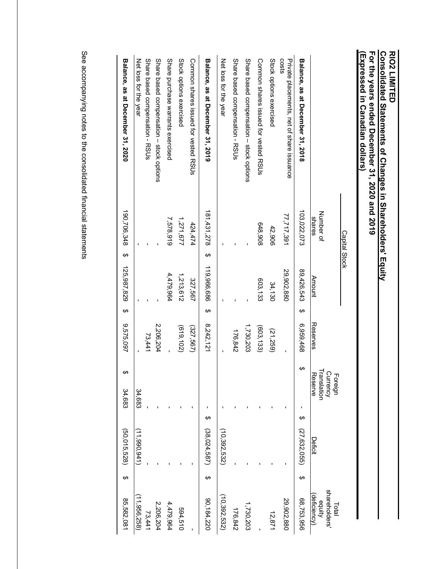| For the years ended December 31, 2020 and 2019<br>(Listessed in Canadian dollars) | Consolidated Statements of Changes in Shareholders' Equity<br>Capital Stock |               |                |                                               |                   |                                                 |
|-----------------------------------------------------------------------------------|-----------------------------------------------------------------------------|---------------|----------------|-----------------------------------------------|-------------------|-------------------------------------------------|
|                                                                                   | Number of<br>shares                                                         | <b>Amount</b> | Reserves       | Currency<br>Translation<br>Reserve<br>Foreign | <b>Deficit</b>    | shareholders'<br>deficiency)<br>equity<br>Total |
| Balance, as at December 31, 2018                                                  | 103,022,073                                                                 | 89,426,543    | ↔<br>6,959,468 | ↔                                             | ↔<br>(27,632,055) | ↔<br>68,753,956                                 |
| costs<br>Private placements, net of share issuance                                | 77,717,391                                                                  | 29,902,880    |                |                                               |                   | 29,902,880                                      |
| Stock options exercised                                                           | 42,906                                                                      | 34,130        | (21, 259)      |                                               |                   | 12,871                                          |
| Common shares issued for vested RSUs                                              | 648,908                                                                     | 603,133       | (603, 133)     |                                               |                   |                                                 |
| Share based compensation - stock options                                          |                                                                             |               | 1,730,203      |                                               |                   | 1,730,203                                       |
| Share based compensation - RSUs                                                   |                                                                             |               | 176,842        |                                               |                   | 176,842                                         |
| Net loss for the year                                                             |                                                                             |               |                |                                               | (10, 392, 532)    | (10, 392, 532)                                  |
| Balance, as at December 31, 2019                                                  | 181,431,278<br>↔                                                            | 119,966,686   | ↔<br>8,242,121 |                                               | ↔<br>(38,024,587) | ↔<br>90,184,220                                 |
| Common shares issued for vested RSUs                                              | 424,474                                                                     | 327,567       | (327,567)      |                                               |                   |                                                 |
| Stock options exercised                                                           | 1,271,677                                                                   | 1,213,612     | (619, 102)     |                                               |                   | 594,510                                         |
| Share purchase warrants exercised                                                 | 7,578,919                                                                   | 4,479,964     |                |                                               |                   | 4,479,964                                       |
| Share based compensation - stock options                                          |                                                                             |               | 2,206,204      |                                               |                   | 2,206,204                                       |
| Share based compensation - RSUs                                                   |                                                                             |               | 73,441         |                                               |                   | 73,441                                          |
| Net loss for the year                                                             |                                                                             |               |                | 34,683                                        | (11,990,941)      | (11, 956, 258)                                  |
| Balance, as at December 31, 2020                                                  | 190,706,348<br>↔                                                            | 125,987,829   | ↔<br>9,575,097 | 34,683                                        | (50, 015, 528)    | ↔<br>85,582,081                                 |

See accompanying notes to the consolidated financial statements See accompanying notes to the consolidated financial statements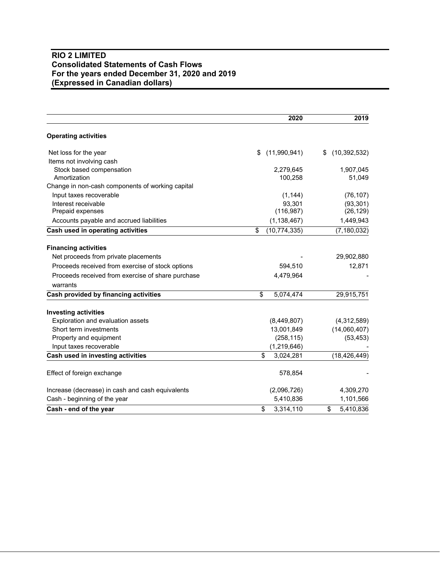# **RIO 2 LIMITED Consolidated Statements of Cash Flows For the years ended December 31, 2020 and 2019 (Expressed in Canadian dollars)**

|                                                   | 2020                                 | 2019                 |
|---------------------------------------------------|--------------------------------------|----------------------|
| <b>Operating activities</b>                       |                                      |                      |
| Net loss for the year                             | (11,990,941)<br>\$                   | (10, 392, 532)<br>\$ |
| Items not involving cash                          |                                      |                      |
| Stock based compensation                          | 2,279,645                            | 1,907,045            |
| Amortization                                      | 100,258                              | 51,049               |
| Change in non-cash components of working capital  |                                      |                      |
| Input taxes recoverable                           | (1, 144)                             | (76, 107)            |
| Interest receivable                               | 93,301                               | (93, 301)            |
| Prepaid expenses                                  | (116, 987)                           | (26, 129)            |
| Accounts payable and accrued liabilities          | (1, 138, 467)                        | 1,449,943            |
| Cash used in operating activities                 | \$<br>(10, 774, 335)                 | (7, 180, 032)        |
| <b>Financing activities</b>                       |                                      |                      |
| Net proceeds from private placements              |                                      | 29,902,880           |
| Proceeds received from exercise of stock options  | 594,510                              | 12,871               |
| Proceeds received from exercise of share purchase | 4,479,964                            |                      |
| warrants                                          |                                      |                      |
| Cash provided by financing activities             | $\overline{\mathbf{s}}$<br>5,074,474 | 29,915,751           |
| <b>Investing activities</b>                       |                                      |                      |
| Exploration and evaluation assets                 | (8,449,807)                          | (4,312,589)          |
| Short term investments                            | 13,001,849                           | (14,060,407)         |
| Property and equipment                            | (258, 115)                           | (53, 453)            |
| Input taxes recoverable                           | (1, 219, 646)                        |                      |
| Cash used in investing activities                 | \$<br>3,024,281                      | (18, 426, 449)       |
| Effect of foreign exchange                        | 578,854                              |                      |
| Increase (decrease) in cash and cash equivalents  | (2,096,726)                          | 4,309,270            |
| Cash - beginning of the year                      | 5,410,836                            | 1,101,566            |
| Cash - end of the year                            | \$<br>3,314,110                      | 5,410,836<br>\$      |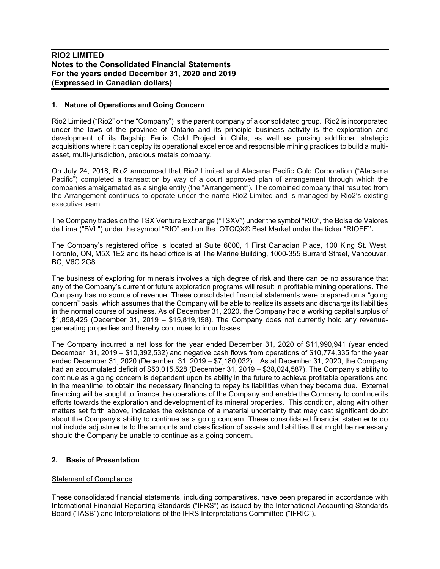## **1. Nature of Operations and Going Concern**

Rio2 Limited ("Rio2" or the "Company") is the parent company of a consolidated group. Rio2 is incorporated under the laws of the province of Ontario and its principle business activity is the exploration and development of its flagship Fenix Gold Project in Chile, as well as pursing additional strategic acquisitions where it can deploy its operational excellence and responsible mining practices to build a multiasset, multi-jurisdiction, precious metals company.

On July 24, 2018, Rio2 announced that Rio2 Limited and Atacama Pacific Gold Corporation ("Atacama Pacific") completed a transaction by way of a court approved plan of arrangement through which the companies amalgamated as a single entity (the "Arrangement"). The combined company that resulted from the Arrangement continues to operate under the name Rio2 Limited and is managed by Rio2's existing executive team.

The Company trades on the TSX Venture Exchange ("TSXV") under the symbol "RIO", the Bolsa de Valores de Lima ("BVL") under the symbol "RIO" and on the OTCQX® Best Market under the ticker "RIOFF**".**

The Company's registered office is located at Suite 6000, 1 First Canadian Place, 100 King St. West, Toronto, ON, M5X 1E2 and its head office is at The Marine Building, 1000-355 Burrard Street, Vancouver, BC, V6C 2G8.

The business of exploring for minerals involves a high degree of risk and there can be no assurance that any of the Company's current or future exploration programs will result in profitable mining operations. The Company has no source of revenue. These consolidated financial statements were prepared on a "going concern" basis, which assumes that the Company will be able to realize its assets and discharge its liabilities in the normal course of business. As of December 31, 2020, the Company had a working capital surplus of \$1,858,425 (December 31, 2019 – \$15,819,198). The Company does not currently hold any revenuegenerating properties and thereby continues to incur losses.

The Company incurred a net loss for the year ended December 31, 2020 of \$11,990,941 (year ended December 31, 2019 – \$10,392,532) and negative cash flows from operations of \$10,774,335 for the year ended December 31, 2020 (December 31, 2019 – \$7,180,032). As at December 31, 2020, the Company had an accumulated deficit of \$50,015,528 (December 31, 2019 – \$38,024,587). The Company's ability to continue as a going concern is dependent upon its ability in the future to achieve profitable operations and in the meantime, to obtain the necessary financing to repay its liabilities when they become due. External financing will be sought to finance the operations of the Company and enable the Company to continue its efforts towards the exploration and development of its mineral properties. This condition, along with other matters set forth above, indicates the existence of a material uncertainty that may cast significant doubt about the Company's ability to continue as a going concern. These consolidated financial statements do not include adjustments to the amounts and classification of assets and liabilities that might be necessary should the Company be unable to continue as a going concern.

#### **2. Basis of Presentation**

#### Statement of Compliance

These consolidated financial statements, including comparatives, have been prepared in accordance with International Financial Reporting Standards ("IFRS") as issued by the International Accounting Standards Board ("IASB") and Interpretations of the IFRS Interpretations Committee ("IFRIC").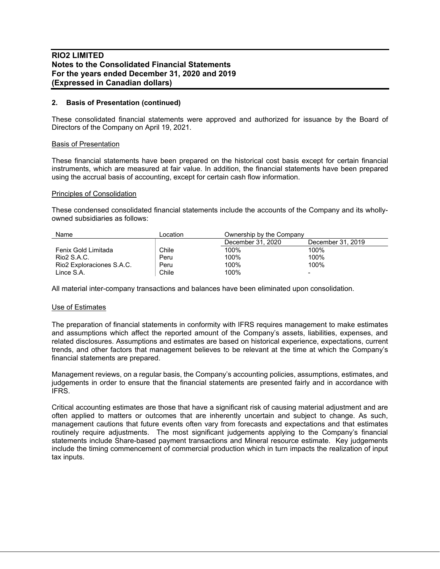## **2. Basis of Presentation (continued)**

These consolidated financial statements were approved and authorized for issuance by the Board of Directors of the Company on April 19, 2021.

#### Basis of Presentation

These financial statements have been prepared on the historical cost basis except for certain financial instruments, which are measured at fair value. In addition, the financial statements have been prepared using the accrual basis of accounting, except for certain cash flow information.

#### Principles of Consolidation

These condensed consolidated financial statements include the accounts of the Company and its whollyowned subsidiaries as follows:

| Name                      | Location | Ownership by the Company |                   |
|---------------------------|----------|--------------------------|-------------------|
|                           |          | December 31, 2020        | December 31, 2019 |
| Fenix Gold Limitada       | Chile    | 100%                     | 100%              |
| Rio2 S.A.C.               | Peru     | 100%                     | 100%              |
| Rio2 Exploraciones S.A.C. | Peru     | 100%                     | 100%              |
| Lince S.A.                | Chile    | 100%                     |                   |

All material inter-company transactions and balances have been eliminated upon consolidation.

#### Use of Estimates

The preparation of financial statements in conformity with IFRS requires management to make estimates and assumptions which affect the reported amount of the Company's assets, liabilities, expenses, and related disclosures. Assumptions and estimates are based on historical experience, expectations, current trends, and other factors that management believes to be relevant at the time at which the Company's financial statements are prepared.

Management reviews, on a regular basis, the Company's accounting policies, assumptions, estimates, and judgements in order to ensure that the financial statements are presented fairly and in accordance with IFRS.

Critical accounting estimates are those that have a significant risk of causing material adjustment and are often applied to matters or outcomes that are inherently uncertain and subject to change. As such, management cautions that future events often vary from forecasts and expectations and that estimates routinely require adjustments. The most significant judgements applying to the Company's financial statements include Share-based payment transactions and Mineral resource estimate. Key judgements include the timing commencement of commercial production which in turn impacts the realization of input tax inputs.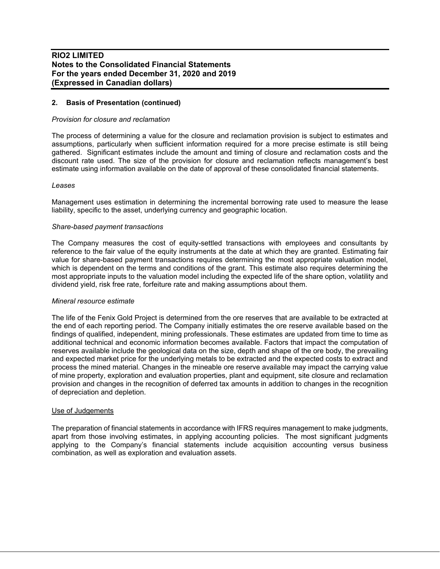# **2. Basis of Presentation (continued)**

#### *Provision for closure and reclamation*

The process of determining a value for the closure and reclamation provision is subject to estimates and assumptions, particularly when sufficient information required for a more precise estimate is still being gathered. Significant estimates include the amount and timing of closure and reclamation costs and the discount rate used. The size of the provision for closure and reclamation reflects management's best estimate using information available on the date of approval of these consolidated financial statements.

#### *Leases*

Management uses estimation in determining the incremental borrowing rate used to measure the lease liability, specific to the asset, underlying currency and geographic location.

#### *Share-based payment transactions*

The Company measures the cost of equity-settled transactions with employees and consultants by reference to the fair value of the equity instruments at the date at which they are granted. Estimating fair value for share-based payment transactions requires determining the most appropriate valuation model, which is dependent on the terms and conditions of the grant. This estimate also requires determining the most appropriate inputs to the valuation model including the expected life of the share option, volatility and dividend yield, risk free rate, forfeiture rate and making assumptions about them.

#### *Mineral resource estimate*

The life of the Fenix Gold Project is determined from the ore reserves that are available to be extracted at the end of each reporting period. The Company initially estimates the ore reserve available based on the findings of qualified, independent, mining professionals. These estimates are updated from time to time as additional technical and economic information becomes available. Factors that impact the computation of reserves available include the geological data on the size, depth and shape of the ore body, the prevailing and expected market price for the underlying metals to be extracted and the expected costs to extract and process the mined material. Changes in the mineable ore reserve available may impact the carrying value of mine property, exploration and evaluation properties, plant and equipment, site closure and reclamation provision and changes in the recognition of deferred tax amounts in addition to changes in the recognition of depreciation and depletion.

#### Use of Judgements

The preparation of financial statements in accordance with IFRS requires management to make judgments, apart from those involving estimates, in applying accounting policies. The most significant judgments applying to the Company's financial statements include acquisition accounting versus business combination, as well as exploration and evaluation assets.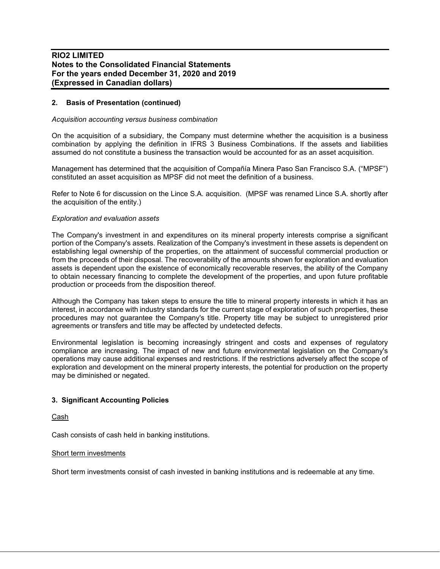# **2. Basis of Presentation (continued)**

#### *Acquisition accounting versus business combination*

On the acquisition of a subsidiary, the Company must determine whether the acquisition is a business combination by applying the definition in IFRS 3 Business Combinations. If the assets and liabilities assumed do not constitute a business the transaction would be accounted for as an asset acquisition.

Management has determined that the acquisition of Compañía Minera Paso San Francisco S.A. ("MPSF") constituted an asset acquisition as MPSF did not meet the definition of a business.

Refer to Note 6 for discussion on the Lince S.A. acquisition. (MPSF was renamed Lince S.A. shortly after the acquisition of the entity.)

#### *Exploration and evaluation assets*

The Company's investment in and expenditures on its mineral property interests comprise a significant portion of the Company's assets. Realization of the Company's investment in these assets is dependent on establishing legal ownership of the properties, on the attainment of successful commercial production or from the proceeds of their disposal. The recoverability of the amounts shown for exploration and evaluation assets is dependent upon the existence of economically recoverable reserves, the ability of the Company to obtain necessary financing to complete the development of the properties, and upon future profitable production or proceeds from the disposition thereof.

Although the Company has taken steps to ensure the title to mineral property interests in which it has an interest, in accordance with industry standards for the current stage of exploration of such properties, these procedures may not guarantee the Company's title. Property title may be subject to unregistered prior agreements or transfers and title may be affected by undetected defects.

Environmental legislation is becoming increasingly stringent and costs and expenses of regulatory compliance are increasing. The impact of new and future environmental legislation on the Company's operations may cause additional expenses and restrictions. If the restrictions adversely affect the scope of exploration and development on the mineral property interests, the potential for production on the property may be diminished or negated.

#### **3. Significant Accounting Policies**

Cash

Cash consists of cash held in banking institutions.

#### Short term investments

Short term investments consist of cash invested in banking institutions and is redeemable at any time.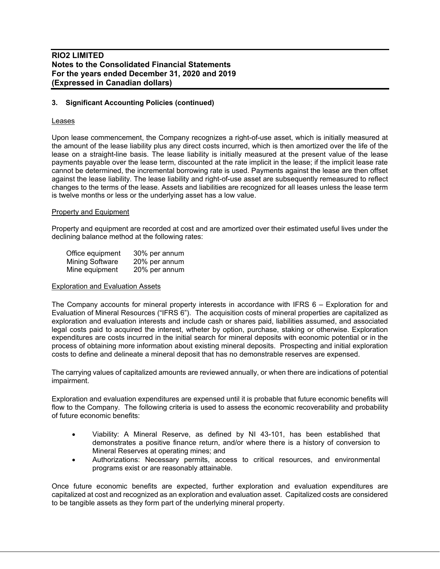## **3. Significant Accounting Policies (continued)**

#### Leases

Upon lease commencement, the Company recognizes a right-of-use asset, which is initially measured at the amount of the lease liability plus any direct costs incurred, which is then amortized over the life of the lease on a straight-line basis. The lease liability is initially measured at the present value of the lease payments payable over the lease term, discounted at the rate implicit in the lease; if the implicit lease rate cannot be determined, the incremental borrowing rate is used. Payments against the lease are then offset against the lease liability. The lease liability and right-of-use asset are subsequently remeasured to reflect changes to the terms of the lease. Assets and liabilities are recognized for all leases unless the lease term is twelve months or less or the underlying asset has a low value.

#### Property and Equipment

Property and equipment are recorded at cost and are amortized over their estimated useful lives under the declining balance method at the following rates:

| Office equipment       | 30% per annum |
|------------------------|---------------|
| <b>Mining Software</b> | 20% per annum |
| Mine equipment         | 20% per annum |

#### Exploration and Evaluation Assets

The Company accounts for mineral property interests in accordance with IFRS 6 – Exploration for and Evaluation of Mineral Resources ("IFRS 6"). The acquisition costs of mineral properties are capitalized as exploration and evaluation interests and include cash or shares paid, liabilities assumed, and associated legal costs paid to acquired the interest, wtheter by option, purchase, staking or otherwise. Exploration expenditures are costs incurred in the initial search for mineral deposits with economic potential or in the process of obtaining more information about existing mineral deposits. Prospecting and initial exploration costs to define and delineate a mineral deposit that has no demonstrable reserves are expensed.

The carrying values of capitalized amounts are reviewed annually, or when there are indications of potential impairment.

Exploration and evaluation expenditures are expensed until it is probable that future economic benefits will flow to the Company. The following criteria is used to assess the economic recoverability and probability of future economic benefits:

- Viability: A Mineral Reserve, as defined by NI 43-101, has been established that demonstrates a positive finance return, and/or where there is a history of conversion to Mineral Reserves at operating mines; and
- Authorizations: Necessary permits, access to critical resources, and environmental programs exist or are reasonably attainable.

Once future economic benefits are expected, further exploration and evaluation expenditures are capitalized at cost and recognized as an exploration and evaluation asset. Capitalized costs are considered to be tangible assets as they form part of the underlying mineral property.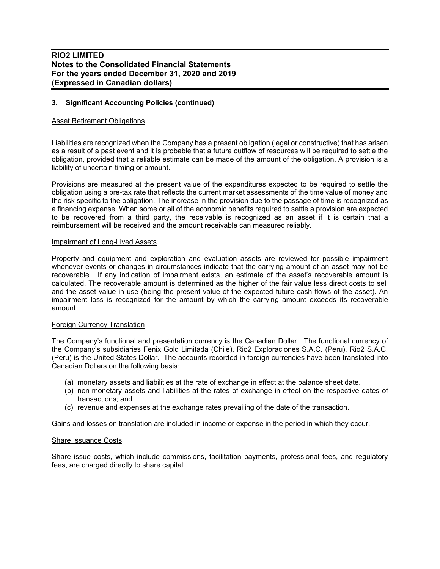# **3. Significant Accounting Policies (continued)**

#### Asset Retirement Obligations

Liabilities are recognized when the Company has a present obligation (legal or constructive) that has arisen as a result of a past event and it is probable that a future outflow of resources will be required to settle the obligation, provided that a reliable estimate can be made of the amount of the obligation. A provision is a liability of uncertain timing or amount.

Provisions are measured at the present value of the expenditures expected to be required to settle the obligation using a pre-tax rate that reflects the current market assessments of the time value of money and the risk specific to the obligation. The increase in the provision due to the passage of time is recognized as a financing expense. When some or all of the economic benefits required to settle a provision are expected to be recovered from a third party, the receivable is recognized as an asset if it is certain that a reimbursement will be received and the amount receivable can measured reliably.

#### Impairment of Long-Lived Assets

Property and equipment and exploration and evaluation assets are reviewed for possible impairment whenever events or changes in circumstances indicate that the carrying amount of an asset may not be recoverable. If any indication of impairment exists, an estimate of the asset's recoverable amount is calculated. The recoverable amount is determined as the higher of the fair value less direct costs to sell and the asset value in use (being the present value of the expected future cash flows of the asset). An impairment loss is recognized for the amount by which the carrying amount exceeds its recoverable amount.

#### Foreign Currency Translation

The Company's functional and presentation currency is the Canadian Dollar. The functional currency of the Company's subsidiaries Fenix Gold Limitada (Chile), Rio2 Exploraciones S.A.C. (Peru), Rio2 S.A.C. (Peru) is the United States Dollar. The accounts recorded in foreign currencies have been translated into Canadian Dollars on the following basis:

- (a) monetary assets and liabilities at the rate of exchange in effect at the balance sheet date.
- (b) non-monetary assets and liabilities at the rates of exchange in effect on the respective dates of transactions; and
- (c) revenue and expenses at the exchange rates prevailing of the date of the transaction.

Gains and losses on translation are included in income or expense in the period in which they occur.

#### Share Issuance Costs

Share issue costs, which include commissions, facilitation payments, professional fees, and regulatory fees, are charged directly to share capital.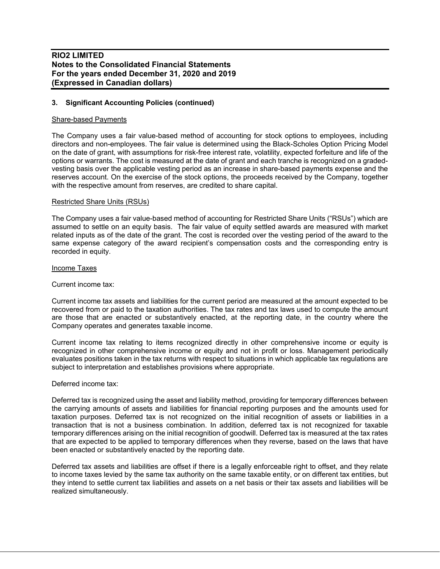## **3. Significant Accounting Policies (continued)**

#### Share-based Payments

The Company uses a fair value-based method of accounting for stock options to employees, including directors and non-employees. The fair value is determined using the Black-Scholes Option Pricing Model on the date of grant, with assumptions for risk-free interest rate, volatility, expected forfeiture and life of the options or warrants. The cost is measured at the date of grant and each tranche is recognized on a gradedvesting basis over the applicable vesting period as an increase in share-based payments expense and the reserves account. On the exercise of the stock options, the proceeds received by the Company, together with the respective amount from reserves, are credited to share capital.

#### Restricted Share Units (RSUs)

The Company uses a fair value-based method of accounting for Restricted Share Units ("RSUs") which are assumed to settle on an equity basis. The fair value of equity settled awards are measured with market related inputs as of the date of the grant. The cost is recorded over the vesting period of the award to the same expense category of the award recipient's compensation costs and the corresponding entry is recorded in equity.

#### Income Taxes

#### Current income tax:

Current income tax assets and liabilities for the current period are measured at the amount expected to be recovered from or paid to the taxation authorities. The tax rates and tax laws used to compute the amount are those that are enacted or substantively enacted, at the reporting date, in the country where the Company operates and generates taxable income.

Current income tax relating to items recognized directly in other comprehensive income or equity is recognized in other comprehensive income or equity and not in profit or loss. Management periodically evaluates positions taken in the tax returns with respect to situations in which applicable tax regulations are subject to interpretation and establishes provisions where appropriate.

## Deferred income tax:

Deferred tax is recognized using the asset and liability method, providing for temporary differences between the carrying amounts of assets and liabilities for financial reporting purposes and the amounts used for taxation purposes. Deferred tax is not recognized on the initial recognition of assets or liabilities in a transaction that is not a business combination. In addition, deferred tax is not recognized for taxable temporary differences arising on the initial recognition of goodwill. Deferred tax is measured at the tax rates that are expected to be applied to temporary differences when they reverse, based on the laws that have been enacted or substantively enacted by the reporting date.

Deferred tax assets and liabilities are offset if there is a legally enforceable right to offset, and they relate to income taxes levied by the same tax authority on the same taxable entity, or on different tax entities, but they intend to settle current tax liabilities and assets on a net basis or their tax assets and liabilities will be realized simultaneously.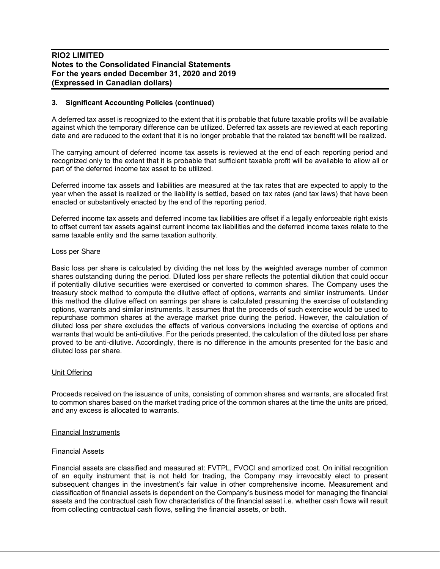## **3. Significant Accounting Policies (continued)**

A deferred tax asset is recognized to the extent that it is probable that future taxable profits will be available against which the temporary difference can be utilized. Deferred tax assets are reviewed at each reporting date and are reduced to the extent that it is no longer probable that the related tax benefit will be realized.

The carrying amount of deferred income tax assets is reviewed at the end of each reporting period and recognized only to the extent that it is probable that sufficient taxable profit will be available to allow all or part of the deferred income tax asset to be utilized.

Deferred income tax assets and liabilities are measured at the tax rates that are expected to apply to the year when the asset is realized or the liability is settled, based on tax rates (and tax laws) that have been enacted or substantively enacted by the end of the reporting period.

Deferred income tax assets and deferred income tax liabilities are offset if a legally enforceable right exists to offset current tax assets against current income tax liabilities and the deferred income taxes relate to the same taxable entity and the same taxation authority.

#### Loss per Share

Basic loss per share is calculated by dividing the net loss by the weighted average number of common shares outstanding during the period. Diluted loss per share reflects the potential dilution that could occur if potentially dilutive securities were exercised or converted to common shares. The Company uses the treasury stock method to compute the dilutive effect of options, warrants and similar instruments. Under this method the dilutive effect on earnings per share is calculated presuming the exercise of outstanding options, warrants and similar instruments. It assumes that the proceeds of such exercise would be used to repurchase common shares at the average market price during the period. However, the calculation of diluted loss per share excludes the effects of various conversions including the exercise of options and warrants that would be anti-dilutive. For the periods presented, the calculation of the diluted loss per share proved to be anti-dilutive. Accordingly, there is no difference in the amounts presented for the basic and diluted loss per share.

#### Unit Offering

Proceeds received on the issuance of units, consisting of common shares and warrants, are allocated first to common shares based on the market trading price of the common shares at the time the units are priced, and any excess is allocated to warrants.

#### Financial Instruments

#### Financial Assets

Financial assets are classified and measured at: FVTPL, FVOCI and amortized cost. On initial recognition of an equity instrument that is not held for trading, the Company may irrevocably elect to present subsequent changes in the investment's fair value in other comprehensive income. Measurement and classification of financial assets is dependent on the Company's business model for managing the financial assets and the contractual cash flow characteristics of the financial asset i.e. whether cash flows will result from collecting contractual cash flows, selling the financial assets, or both.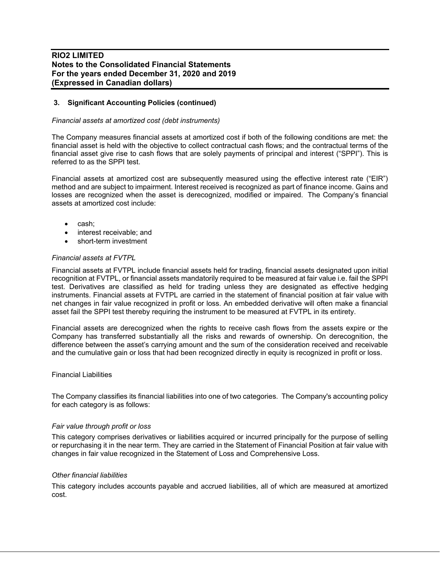# **3. Significant Accounting Policies (continued)**

#### *Financial assets at amortized cost (debt instruments)*

The Company measures financial assets at amortized cost if both of the following conditions are met: the financial asset is held with the objective to collect contractual cash flows; and the contractual terms of the financial asset give rise to cash flows that are solely payments of principal and interest ("SPPI"). This is referred to as the SPPI test.

Financial assets at amortized cost are subsequently measured using the effective interest rate ("EIR") method and are subject to impairment. Interest received is recognized as part of finance income. Gains and losses are recognized when the asset is derecognized, modified or impaired. The Company's financial assets at amortized cost include:

- cash;
- interest receivable; and
- short-term investment

#### *Financial assets at FVTPL*

Financial assets at FVTPL include financial assets held for trading, financial assets designated upon initial recognition at FVTPL, or financial assets mandatorily required to be measured at fair value i.e. fail the SPPI test. Derivatives are classified as held for trading unless they are designated as effective hedging instruments. Financial assets at FVTPL are carried in the statement of financial position at fair value with net changes in fair value recognized in profit or loss. An embedded derivative will often make a financial asset fail the SPPI test thereby requiring the instrument to be measured at FVTPL in its entirety.

Financial assets are derecognized when the rights to receive cash flows from the assets expire or the Company has transferred substantially all the risks and rewards of ownership. On derecognition, the difference between the asset's carrying amount and the sum of the consideration received and receivable and the cumulative gain or loss that had been recognized directly in equity is recognized in profit or loss.

#### Financial Liabilities

The Company classifies its financial liabilities into one of two categories. The Company's accounting policy for each category is as follows:

#### *Fair value through profit or loss*

This category comprises derivatives or liabilities acquired or incurred principally for the purpose of selling or repurchasing it in the near term. They are carried in the Statement of Financial Position at fair value with changes in fair value recognized in the Statement of Loss and Comprehensive Loss.

#### *Other financial liabilities*

This category includes accounts payable and accrued liabilities, all of which are measured at amortized cost.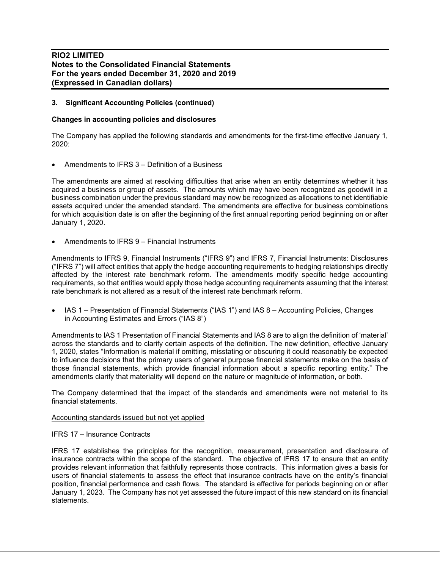## **3. Significant Accounting Policies (continued)**

#### **Changes in accounting policies and disclosures**

The Company has applied the following standards and amendments for the first-time effective January 1, 2020:

• Amendments to IFRS 3 – Definition of a Business

The amendments are aimed at resolving difficulties that arise when an entity determines whether it has acquired a business or group of assets. The amounts which may have been recognized as goodwill in a business combination under the previous standard may now be recognized as allocations to net identifiable assets acquired under the amended standard. The amendments are effective for business combinations for which acquisition date is on after the beginning of the first annual reporting period beginning on or after January 1, 2020.

• Amendments to IFRS 9 – Financial Instruments

Amendments to IFRS 9, Financial Instruments ("IFRS 9") and IFRS 7, Financial Instruments: Disclosures ("IFRS 7") will affect entities that apply the hedge accounting requirements to hedging relationships directly affected by the interest rate benchmark reform. The amendments modify specific hedge accounting requirements, so that entities would apply those hedge accounting requirements assuming that the interest rate benchmark is not altered as a result of the interest rate benchmark reform.

• IAS 1 – Presentation of Financial Statements ("IAS 1") and IAS 8 – Accounting Policies, Changes in Accounting Estimates and Errors ("IAS 8")

Amendments to IAS 1 Presentation of Financial Statements and IAS 8 are to align the definition of 'material' across the standards and to clarify certain aspects of the definition. The new definition, effective January 1, 2020, states "Information is material if omitting, misstating or obscuring it could reasonably be expected to influence decisions that the primary users of general purpose financial statements make on the basis of those financial statements, which provide financial information about a specific reporting entity." The amendments clarify that materiality will depend on the nature or magnitude of information, or both.

The Company determined that the impact of the standards and amendments were not material to its financial statements.

#### Accounting standards issued but not yet applied

#### IFRS 17 – Insurance Contracts

IFRS 17 establishes the principles for the recognition, measurement, presentation and disclosure of insurance contracts within the scope of the standard. The objective of IFRS 17 to ensure that an entity provides relevant information that faithfully represents those contracts. This information gives a basis for users of financial statements to assess the effect that insurance contracts have on the entity's financial position, financial performance and cash flows. The standard is effective for periods beginning on or after January 1, 2023. The Company has not yet assessed the future impact of this new standard on its financial statements.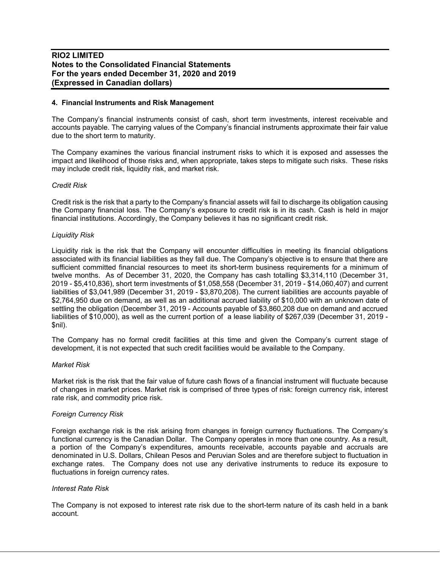#### **4. Financial Instruments and Risk Management**

The Company's financial instruments consist of cash, short term investments, interest receivable and accounts payable. The carrying values of the Company's financial instruments approximate their fair value due to the short term to maturity.

The Company examines the various financial instrument risks to which it is exposed and assesses the impact and likelihood of those risks and, when appropriate, takes steps to mitigate such risks. These risks may include credit risk, liquidity risk, and market risk.

#### *Credit Risk*

Credit risk is the risk that a party to the Company's financial assets will fail to discharge its obligation causing the Company financial loss. The Company's exposure to credit risk is in its cash. Cash is held in major financial institutions. Accordingly, the Company believes it has no significant credit risk.

#### *Liquidity Risk*

Liquidity risk is the risk that the Company will encounter difficulties in meeting its financial obligations associated with its financial liabilities as they fall due. The Company's objective is to ensure that there are sufficient committed financial resources to meet its short-term business requirements for a minimum of twelve months. As of December 31, 2020, the Company has cash totalling \$3,314,110 (December 31, 2019 - \$5,410,836), short term investments of \$1,058,558 (December 31, 2019 - \$14,060,407) and current liabilities of \$3,041,989 (December 31, 2019 - \$3,870,208). The current liabilities are accounts payable of \$2,764,950 due on demand, as well as an additional accrued liability of \$10,000 with an unknown date of settling the obligation (December 31, 2019 - Accounts payable of \$3,860,208 due on demand and accrued liabilities of \$10,000), as well as the current portion of a lease liability of \$267,039 (December 31, 2019 - \$nil).

The Company has no formal credit facilities at this time and given the Company's current stage of development, it is not expected that such credit facilities would be available to the Company.

#### *Market Risk*

Market risk is the risk that the fair value of future cash flows of a financial instrument will fluctuate because of changes in market prices. Market risk is comprised of three types of risk: foreign currency risk, interest rate risk, and commodity price risk.

#### *Foreign Currency Risk*

Foreign exchange risk is the risk arising from changes in foreign currency fluctuations. The Company's functional currency is the Canadian Dollar. The Company operates in more than one country. As a result, a portion of the Company's expenditures, amounts receivable, accounts payable and accruals are denominated in U.S. Dollars, Chilean Pesos and Peruvian Soles and are therefore subject to fluctuation in exchange rates. The Company does not use any derivative instruments to reduce its exposure to fluctuations in foreign currency rates.

#### *Interest Rate Risk*

The Company is not exposed to interest rate risk due to the short-term nature of its cash held in a bank account.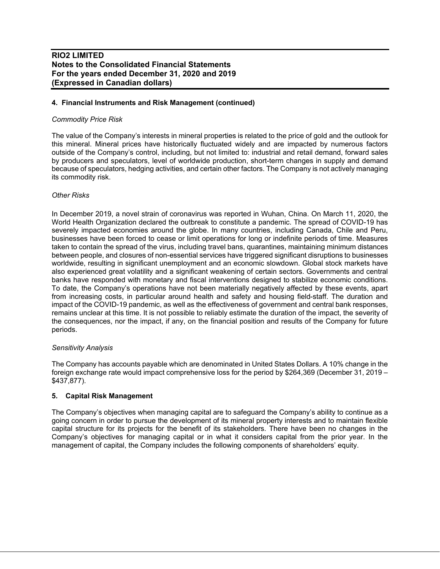# **4. Financial Instruments and Risk Management (continued)**

## *Commodity Price Risk*

The value of the Company's interests in mineral properties is related to the price of gold and the outlook for this mineral. Mineral prices have historically fluctuated widely and are impacted by numerous factors outside of the Company's control, including, but not limited to: industrial and retail demand, forward sales by producers and speculators, level of worldwide production, short-term changes in supply and demand because of speculators, hedging activities, and certain other factors. The Company is not actively managing its commodity risk.

## *Other Risks*

In December 2019, a novel strain of coronavirus was reported in Wuhan, China. On March 11, 2020, the World Health Organization declared the outbreak to constitute a pandemic. The spread of COVID-19 has severely impacted economies around the globe. In many countries, including Canada, Chile and Peru, businesses have been forced to cease or limit operations for long or indefinite periods of time. Measures taken to contain the spread of the virus, including travel bans, quarantines, maintaining minimum distances between people, and closures of non-essential services have triggered significant disruptions to businesses worldwide, resulting in significant unemployment and an economic slowdown. Global stock markets have also experienced great volatility and a significant weakening of certain sectors. Governments and central banks have responded with monetary and fiscal interventions designed to stabilize economic conditions. To date, the Company's operations have not been materially negatively affected by these events, apart from increasing costs, in particular around health and safety and housing field-staff. The duration and impact of the COVID-19 pandemic, as well as the effectiveness of government and central bank responses, remains unclear at this time. It is not possible to reliably estimate the duration of the impact, the severity of the consequences, nor the impact, if any, on the financial position and results of the Company for future periods.

#### *Sensitivity Analysis*

The Company has accounts payable which are denominated in United States Dollars. A 10% change in the foreign exchange rate would impact comprehensive loss for the period by \$264,369 (December 31, 2019 – \$437,877).

# **5. Capital Risk Management**

The Company's objectives when managing capital are to safeguard the Company's ability to continue as a going concern in order to pursue the development of its mineral property interests and to maintain flexible capital structure for its projects for the benefit of its stakeholders. There have been no changes in the Company's objectives for managing capital or in what it considers capital from the prior year. In the management of capital, the Company includes the following components of shareholders' equity.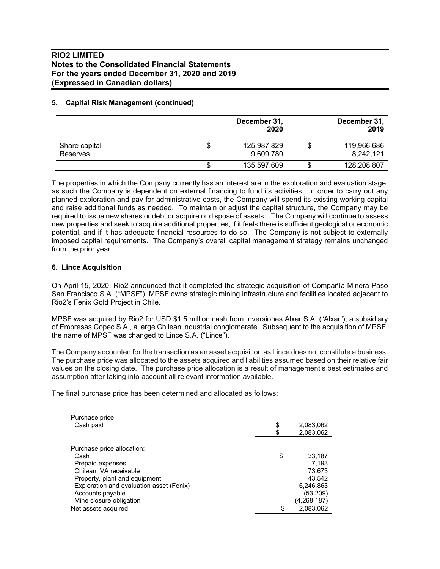## **5. Capital Risk Management (continued)**

|                                  |    | December 31,<br>2020     | December 31,<br>2019     |
|----------------------------------|----|--------------------------|--------------------------|
| Share capital<br><b>Reserves</b> | \$ | 125,987,829<br>9,609,780 | 119,966,686<br>8,242,121 |
|                                  | S  | 135,597,609              | 128,208,807              |

The properties in which the Company currently has an interest are in the exploration and evaluation stage; as such the Company is dependent on external financing to fund its activities. In order to carry out any planned exploration and pay for administrative costs, the Company will spend its existing working capital and raise additional funds as needed. To maintain or adjust the capital structure, the Company may be required to issue new shares or debt or acquire or dispose of assets. The Company will continue to assess new properties and seek to acquire additional properties, if it feels there is sufficient geological or economic potential, and if it has adequate financial resources to do so. The Company is not subject to externally imposed capital requirements. The Company's overall capital management strategy remains unchanged from the prior year.

## **6. Lince Acquisition**

On April 15, 2020, Rio2 announced that it completed the strategic acquisition of Compañía Minera Paso San Francisco S.A. ("MPSF"). MPSF owns strategic mining infrastructure and facilities located adjacent to Rio2's Fenix Gold Project in Chile.

MPSF was acquired by Rio2 for USD \$1.5 million cash from Inversiones Alxar S.A. ("Alxar"), a subsidiary of Empresas Copec S.A., a large Chilean industrial conglomerate. Subsequent to the acquisition of MPSF, the name of MPSF was changed to Lince S.A. ("Lince").

The Company accounted for the transaction as an asset acquisition as Lince does not constitute a business. The purchase price was allocated to the assets acquired and liabilities assumed based on their relative fair values on the closing date. The purchase price allocation is a result of management's best estimates and assumption after taking into account all relevant information available.

The final purchase price has been determined and allocated as follows:

| Purchase price:                          |                 |
|------------------------------------------|-----------------|
| Cash paid                                | \$<br>2,083,062 |
|                                          | 2,083,062       |
|                                          |                 |
| Purchase price allocation:               |                 |
| Cash                                     | \$<br>33,187    |
| Prepaid expenses                         | 7.193           |
| Chilean IVA receivable                   | 73,673          |
| Property, plant and equipment            | 43.542          |
| Exploration and evaluation asset (Fenix) | 6,246,863       |
| Accounts payable                         | (53, 209)       |
| Mine closure obligation                  | (4,268,187)     |
| Net assets acquired                      | \$<br>2,083,062 |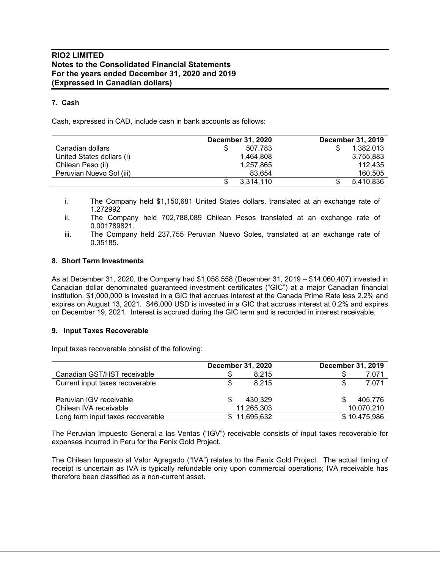# **7. Cash**

Cash, expressed in CAD, include cash in bank accounts as follows:

|                           | <b>December 31, 2020</b> | <b>December 31, 2019</b> |
|---------------------------|--------------------------|--------------------------|
| Canadian dollars          | 507.783<br>S             | 1.382.013                |
| United States dollars (i) | 1.464.808                | 3,755,883                |
| Chilean Peso (ii)         | 1,257,865                | 112.435                  |
| Peruvian Nuevo Sol (iii)  | 83.654                   | 160,505                  |
|                           | 3,314,110<br>S           | 5,410,836                |

i. The Company held \$1,150,681 United States dollars, translated at an exchange rate of 1.272992

ii. The Company held 702,788,089 Chilean Pesos translated at an exchange rate of 0.001789821.

iii. The Company held 237,755 Peruvian Nuevo Soles, translated at an exchange rate of 0.35185.

## **8. Short Term Investments**

As at December 31, 2020, the Company had \$1,058,558 (December 31, 2019 – \$14,060,407) invested in Canadian dollar denominated guaranteed investment certificates ("GIC") at a major Canadian financial institution. \$1,000,000 is invested in a GIC that accrues interest at the Canada Prime Rate less 2.2% and expires on August 13, 2021. \$46,000 USD is invested in a GIC that accrues interest at 0.2% and expires on December 19, 2021. Interest is accrued during the GIC term and is recorded in interest receivable.

#### **9. Input Taxes Recoverable**

Input taxes recoverable consist of the following:

|                                   | <b>December 31, 2020</b> | December 31, 2019 |
|-----------------------------------|--------------------------|-------------------|
| Canadian GST/HST receivable       | 8.215                    | 7,071             |
| Current input taxes recoverable   | 8.215                    | 7,071             |
|                                   |                          |                   |
| Peruvian IGV receivable           | 430.329                  | 405.776           |
| Chilean IVA receivable            | 11,265,303               | 10,070,210        |
| Long term input taxes recoverable | \$11,695,632             | \$10,475,986      |

The Peruvian Impuesto General a las Ventas ("IGV") receivable consists of input taxes recoverable for expenses incurred in Peru for the Fenix Gold Project.

The Chilean Impuesto al Valor Agregado ("IVA") relates to the Fenix Gold Project. The actual timing of receipt is uncertain as IVA is typically refundable only upon commercial operations; IVA receivable has therefore been classified as a non-current asset.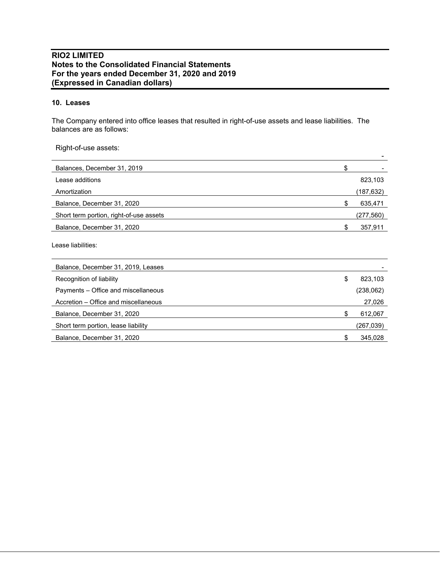# **10. Leases**

The Company entered into office leases that resulted in right-of-use assets and lease liabilities. The balances are as follows:

Right-of-use assets:

| Balances, December 31, 2019             |           |
|-----------------------------------------|-----------|
| Lease additions                         | 823,103   |
| Amortization                            | (187,632) |
| Balance, December 31, 2020              | 635,471   |
| Short term portion, right-of-use assets | (277,560) |
| Balance, December 31, 2020              | 357,911   |

Lease liabilities:

| Balance, December 31, 2019, Leases   |               |
|--------------------------------------|---------------|
| Recognition of liability             | \$<br>823,103 |
| Payments – Office and miscellaneous  | (238,062)     |
| Accretion – Office and miscellaneous | 27,026        |
| Balance, December 31, 2020           | 612,067       |
| Short term portion, lease liability  | (267,039)     |
| Balance, December 31, 2020           | 345,028       |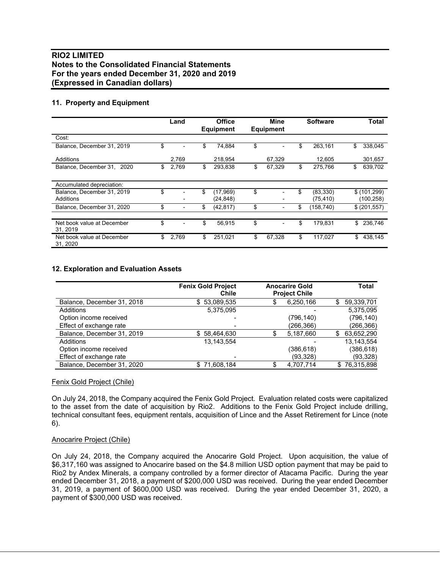# **11. Property and Equipment**

|                                        | Land        | <b>Office</b><br><b>Equipment</b> | Mine<br><b>Equipment</b>       | <b>Software</b> | Total         |
|----------------------------------------|-------------|-----------------------------------|--------------------------------|-----------------|---------------|
| Cost:                                  |             |                                   |                                |                 |               |
| Balance, December 31, 2019             | \$          | \$<br>74,884                      | \$                             | \$<br>263,161   | \$<br>338,045 |
| Additions                              | 2,769       | 218,954                           | 67,329                         | 12,605          | 301,657       |
| Balance, December 31,<br>2020          | \$<br>2,769 | \$<br>293,838                     | \$<br>67,329                   | \$<br>275,766   | \$<br>639,702 |
| Accumulated depreciation:              |             |                                   |                                |                 |               |
| Balance, December 31, 2019             | \$          | \$<br>(17, 969)                   | \$                             | (83, 330)       | \$(101, 299)  |
| Additions                              |             | (24, 848)                         |                                | (75, 410)       | (100, 258)    |
| Balance, December 31, 2020             | \$          | \$<br>(42, 817)                   | \$<br>$\overline{\phantom{0}}$ | \$<br>(158,740) | \$ (201, 557) |
|                                        |             |                                   |                                |                 |               |
| Net book value at December<br>31, 2019 | \$          | \$<br>56,915                      | \$                             | \$<br>179.831   | \$<br>236,746 |
| Net book value at December<br>31, 2020 | \$<br>2,769 | \$<br>251,021                     | \$<br>67,328                   | \$<br>117,027   | \$<br>438,145 |

## **12. Exploration and Evaluation Assets**

|                            | <b>Fenix Gold Project</b><br><b>Chile</b> | <b>Anocarire Gold</b><br><b>Project Chile</b> | Total            |
|----------------------------|-------------------------------------------|-----------------------------------------------|------------------|
| Balance, December 31, 2018 | \$53,089,535                              | 6,250,166                                     | \$<br>59,339,701 |
| Additions                  | 5,375,095                                 |                                               | 5,375,095        |
| Option income received     |                                           | (796,140)                                     | (796,140)        |
| Effect of exchange rate    |                                           | (266,366)                                     | (266, 366)       |
| Balance, December 31, 2019 | \$58,464,630                              | 5,187,660                                     | \$<br>63,652,290 |
| Additions                  | 13.143.554                                |                                               | 13, 143, 554     |
| Option income received     |                                           | (386,618)                                     | (386, 618)       |
| Effect of exchange rate    |                                           | (93,328)                                      | (93, 328)        |
| Balance, December 31, 2020 | \$71,608,184                              | 4,707,714                                     | \$76,315,898     |

#### Fenix Gold Project (Chile)

On July 24, 2018, the Company acquired the Fenix Gold Project. Evaluation related costs were capitalized to the asset from the date of acquisition by Rio2. Additions to the Fenix Gold Project include drilling, technical consultant fees, equipment rentals, acquisition of Lince and the Asset Retirement for Lince (note 6).

#### Anocarire Project (Chile)

On July 24, 2018, the Company acquired the Anocarire Gold Project. Upon acquisition, the value of \$6,317,160 was assigned to Anocarire based on the \$4.8 million USD option payment that may be paid to Rio2 by Andex Minerals, a company controlled by a former director of Atacama Pacific. During the year ended December 31, 2018, a payment of \$200,000 USD was received. During the year ended December 31, 2019, a payment of \$600,000 USD was received. During the year ended December 31, 2020, a payment of \$300,000 USD was received.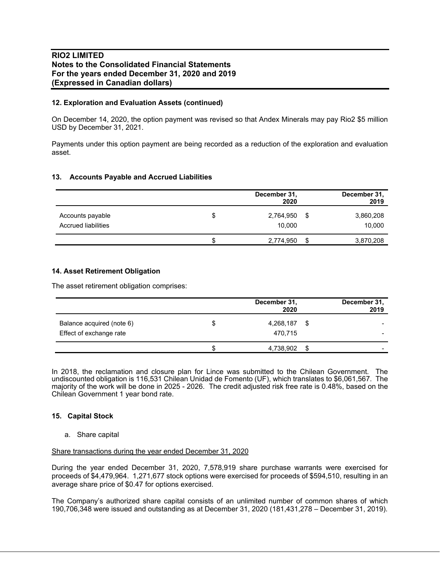## **12. Exploration and Evaluation Assets (continued)**

On December 14, 2020, the option payment was revised so that Andex Minerals may pay Rio2 \$5 million USD by December 31, 2021.

Payments under this option payment are being recorded as a reduction of the exploration and evaluation asset.

#### **13. Accounts Payable and Accrued Liabilities**

|                     |    | December 31,<br>2020 | December 31,<br>2019 |
|---------------------|----|----------------------|----------------------|
| Accounts payable    | S  | 2,764,950            | \$<br>3,860,208      |
| Accrued liabilities |    | 10.000               | 10,000               |
|                     | \$ | 2,774,950            | \$<br>3,870,208      |

## **14. Asset Retirement Obligation**

The asset retirement obligation comprises:

|                           |   | December 31,<br>2020 |      | December 31,<br>2019 |
|---------------------------|---|----------------------|------|----------------------|
| Balance acquired (note 6) | S | 4,268,187            | - \$ | -                    |
| Effect of exchange rate   |   | 470,715              |      |                      |
|                           |   | 4,738,902            | \$   | -                    |

In 2018, the reclamation and closure plan for Lince was submitted to the Chilean Government. The undiscounted obligation is 116,531 Chilean Unidad de Fomento (UF), which translates to \$6,061,567. The majority of the work will be done in 2025 - 2026. The credit adjusted risk free rate is 0.48%, based on the Chilean Government 1 year bond rate.

#### **15. Capital Stock**

#### a. Share capital

Share transactions during the year ended December 31, 2020

During the year ended December 31, 2020, 7,578,919 share purchase warrants were exercised for proceeds of \$4,479,964. 1,271,677 stock options were exercised for proceeds of \$594,510, resulting in an average share price of \$0.47 for options exercised.

The Company's authorized share capital consists of an unlimited number of common shares of which 190,706,348 were issued and outstanding as at December 31, 2020 (181,431,278 – December 31, 2019).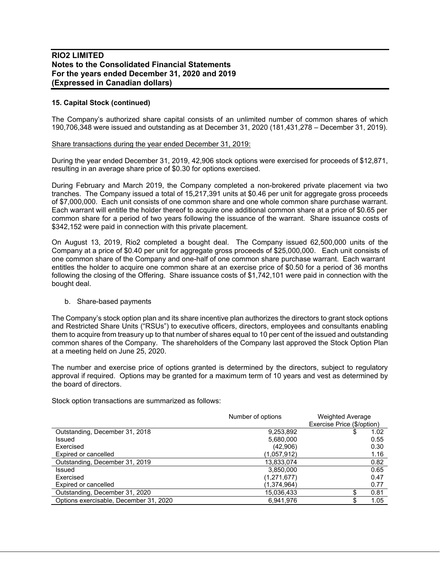## **15. Capital Stock (continued)**

The Company's authorized share capital consists of an unlimited number of common shares of which 190,706,348 were issued and outstanding as at December 31, 2020 (181,431,278 – December 31, 2019).

#### Share transactions during the year ended December 31, 2019:

During the year ended December 31, 2019, 42,906 stock options were exercised for proceeds of \$12,871, resulting in an average share price of \$0.30 for options exercised.

During February and March 2019, the Company completed a non-brokered private placement via two tranches. The Company issued a total of 15,217,391 units at \$0.46 per unit for aggregate gross proceeds of \$7,000,000. Each unit consists of one common share and one whole common share purchase warrant. Each warrant will entitle the holder thereof to acquire one additional common share at a price of \$0.65 per common share for a period of two years following the issuance of the warrant. Share issuance costs of \$342,152 were paid in connection with this private placement.

On August 13, 2019, Rio2 completed a bought deal. The Company issued 62,500,000 units of the Company at a price of \$0.40 per unit for aggregate gross proceeds of \$25,000,000. Each unit consists of one common share of the Company and one-half of one common share purchase warrant. Each warrant entitles the holder to acquire one common share at an exercise price of \$0.50 for a period of 36 months following the closing of the Offering. Share issuance costs of \$1,742,101 were paid in connection with the bought deal.

#### b. Share-based payments

The Company's stock option plan and its share incentive plan authorizes the directors to grant stock options and Restricted Share Units ("RSUs") to executive officers, directors, employees and consultants enabling them to acquire from treasury up to that number of shares equal to 10 per cent of the issued and outstanding common shares of the Company. The shareholders of the Company last approved the Stock Option Plan at a meeting held on June 25, 2020.

The number and exercise price of options granted is determined by the directors, subject to regulatory approval if required. Options may be granted for a maximum term of 10 years and vest as determined by the board of directors.

Stock option transactions are summarized as follows:

|                                        | Number of options | Weighted Average<br>Exercise Price (\$/option) |
|----------------------------------------|-------------------|------------------------------------------------|
| Outstanding, December 31, 2018         | 9,253,892         | 1.02                                           |
| Issued                                 | 5,680,000         | 0.55                                           |
| Exercised                              | (42,906)          | 0.30                                           |
| Expired or cancelled                   | (1,057,912)       | 1.16                                           |
| Outstanding, December 31, 2019         | 13,833,074        | 0.82                                           |
| Issued                                 | 3,850,000         | 0.65                                           |
| Exercised                              | (1,271,677)       | 0.47                                           |
| Expired or cancelled                   | (1,374,964)       | 0.77                                           |
| Outstanding, December 31, 2020         | 15,036,433        | 0.81                                           |
| Options exercisable, December 31, 2020 | 6.941.976         | 1.05                                           |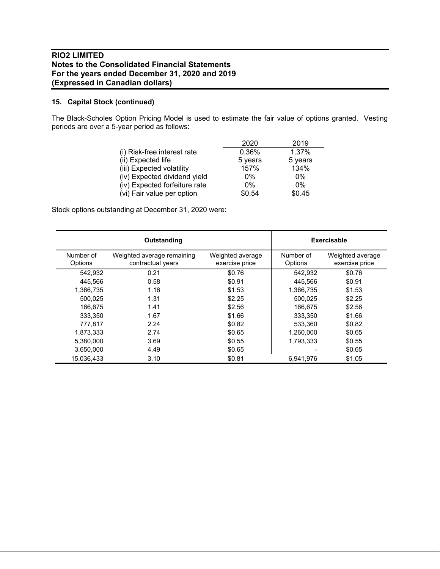# **15. Capital Stock (continued)**

The Black-Scholes Option Pricing Model is used to estimate the fair value of options granted. Vesting periods are over a 5-year period as follows:

|                               | 2020    | 2019    |
|-------------------------------|---------|---------|
| (i) Risk-free interest rate   | 0.36%   | 1.37%   |
| (ii) Expected life            | 5 years | 5 years |
| (iii) Expected volatility     | 157%    | 134%    |
| (iv) Expected dividend yield  | $0\%$   | $0\%$   |
| (iv) Expected forfeiture rate | $0\%$   | $0\%$   |
| (vi) Fair value per option    | \$0.54  | \$0.45  |

Stock options outstanding at December 31, 2020 were:

|                      | Outstanding                                     |                                    |                      | Exercisable                        |
|----------------------|-------------------------------------------------|------------------------------------|----------------------|------------------------------------|
| Number of<br>Options | Weighted average remaining<br>contractual years | Weighted average<br>exercise price | Number of<br>Options | Weighted average<br>exercise price |
| 542,932              | 0.21                                            | \$0.76                             | 542,932              | \$0.76                             |
| 445.566              | 0.58                                            | \$0.91                             | 445.566              | \$0.91                             |
| 1.366.735            | 1.16                                            | \$1.53                             | 1,366,735            | \$1.53                             |
| 500.025              | 1.31                                            | \$2.25                             | 500.025              | \$2.25                             |
| 166.675              | 1.41                                            | \$2.56                             | 166,675              | \$2.56                             |
| 333.350              | 1.67                                            | \$1.66                             | 333.350              | \$1.66                             |
| 777.817              | 2.24                                            | \$0.82                             | 533,360              | \$0.82                             |
| 1,873,333            | 2.74                                            | \$0.65                             | 1,260,000            | \$0.65                             |
| 5.380.000            | 3.69                                            | \$0.55                             | 1.793.333            | \$0.55                             |
| 3,650,000            | 4.49                                            | \$0.65                             |                      | \$0.65                             |
| 15.036.433           | 3.10                                            | \$0.81                             | 6,941,976            | \$1.05                             |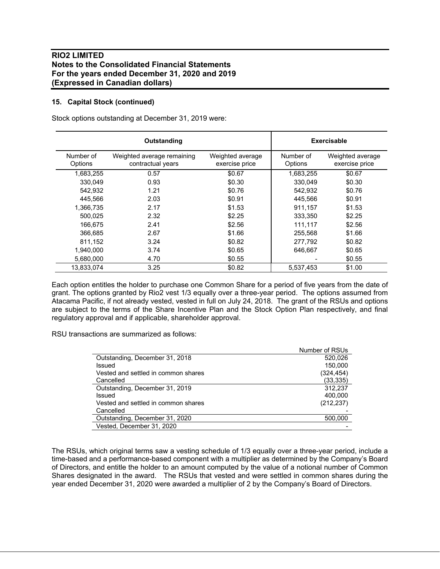## **15. Capital Stock (continued)**

Stock options outstanding at December 31, 2019 were:

|                      | Outstanding                                     |                                    |                      | Exercisable                        |
|----------------------|-------------------------------------------------|------------------------------------|----------------------|------------------------------------|
| Number of<br>Options | Weighted average remaining<br>contractual years | Weighted average<br>exercise price | Number of<br>Options | Weighted average<br>exercise price |
| 1,683,255            | 0.57                                            | \$0.67                             | 1,683,255            | \$0.67                             |
| 330,049              | 0.93                                            | \$0.30                             | 330,049              | \$0.30                             |
| 542,932              | 1.21                                            | \$0.76                             | 542,932              | \$0.76                             |
| 445.566              | 2.03                                            | \$0.91                             | 445.566              | \$0.91                             |
| 1,366,735            | 2.17                                            | \$1.53                             | 911,157              | \$1.53                             |
| 500.025              | 2.32                                            | \$2.25                             | 333,350              | \$2.25                             |
| 166,675              | 2.41                                            | \$2.56                             | 111,117              | \$2.56                             |
| 366.685              | 2.67                                            | \$1.66                             | 255.568              | \$1.66                             |
| 811,152              | 3.24                                            | \$0.82                             | 277,792              | \$0.82                             |
| 1,940,000            | 3.74                                            | \$0.65                             | 646,667              | \$0.65                             |
| 5,680,000            | 4.70                                            | \$0.55                             |                      | \$0.55                             |
| 13.833.074           | 3.25                                            | \$0.82                             | 5,537,453            | \$1.00                             |

Each option entitles the holder to purchase one Common Share for a period of five years from the date of grant. The options granted by Rio2 vest 1/3 equally over a three-year period. The options assumed from Atacama Pacific, if not already vested, vested in full on July 24, 2018. The grant of the RSUs and options are subject to the terms of the Share Incentive Plan and the Stock Option Plan respectively, and final regulatory approval and if applicable, shareholder approval.

RSU transactions are summarized as follows:

|                                     | Number of RSUs |
|-------------------------------------|----------------|
| Outstanding, December 31, 2018      | 520.026        |
| Issued                              | 150.000        |
| Vested and settled in common shares | (324,454)      |
| Cancelled                           | (33, 335)      |
| Outstanding, December 31, 2019      | 312,237        |
| Issued                              | 400,000        |
| Vested and settled in common shares | (212, 237)     |
| Cancelled                           |                |
| Outstanding, December 31, 2020      | 500,000        |
| Vested, December 31, 2020           |                |

The RSUs, which original terms saw a vesting schedule of 1/3 equally over a three-year period, include a time-based and a performance-based component with a multiplier as determined by the Company's Board of Directors, and entitle the holder to an amount computed by the value of a notional number of Common Shares designated in the award. The RSUs that vested and were settled in common shares during the year ended December 31, 2020 were awarded a multiplier of 2 by the Company's Board of Directors.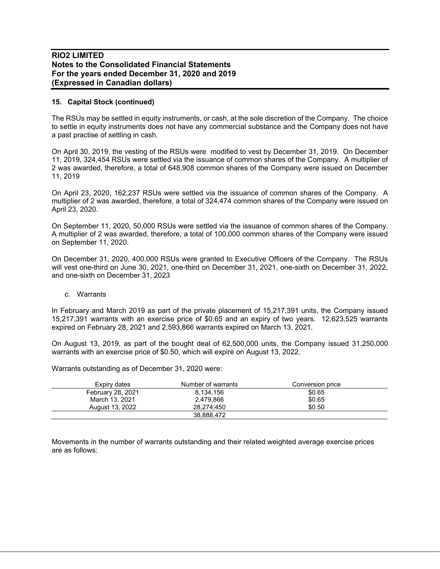## **15. Capital Stock (continued)**

The RSUs may be settled in equity instruments, or cash, at the sole discretion of the Company. The choice to settle in equity instruments does not have any commercial substance and the Company does not have a past practise of settling in cash.

On April 30, 2019, the vesting of the RSUs were modified to vest by December 31, 2019. On December 11, 2019, 324,454 RSUs were settled via the issuance of common shares of the Company. A multiplier of 2 was awarded, therefore, a total of 648,908 common shares of the Company were issued on December 11, 2019

On April 23, 2020, 162,237 RSUs were settled via the issuance of common shares of the Company. A multiplier of 2 was awarded, therefore, a total of 324,474 common shares of the Company were issued on April 23, 2020.

On September 11, 2020, 50,000 RSUs were settled via the issuance of common shares of the Company. A multiplier of 2 was awarded, therefore, a total of 100,000 common shares of the Company were issued on September 11, 2020.

On December 31, 2020, 400,000 RSUs were granted to Executive Officers of the Company. The RSUs will vest one-third on June 30, 2021, one-third on December 31, 2021, one-sixth on December 31, 2022, and one-sixth on December 31, 2023

#### c. Warrants

In February and March 2019 as part of the private placement of 15,217,391 units, the Company issued 15,217,391 warrants with an exercise price of \$0.65 and an expiry of two years. 12,623,525 warrants expired on February 28, 2021 and 2,593,866 warrants expired on March 13, 2021.

On August 13, 2019, as part of the bought deal of 62,500,000 units, the Company issued 31,250,000 warrants with an exercise price of \$0.50, which will expire on August 13, 2022.

Warrants outstanding as of December 31, 2020 were:

| Expiry dates      | Number of warrants | Conversion price |  |
|-------------------|--------------------|------------------|--|
| February 28, 2021 | 8.134.156          | \$0.65           |  |
| March 13, 2021    | 2.479.866          | \$0.65           |  |
| August 13, 2022   | 28.274.450         | \$0.50           |  |
|                   | 38.888.472         |                  |  |

Movements in the number of warrants outstanding and their related weighted average exercise prices are as follows: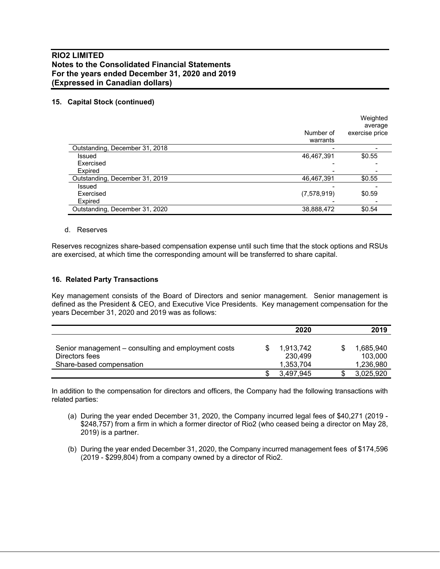# **15. Capital Stock (continued)**

|                                | Number of<br>warrants | Weighted<br>average<br>exercise price |
|--------------------------------|-----------------------|---------------------------------------|
| Outstanding, December 31, 2018 |                       |                                       |
| Issued                         | 46,467,391            | \$0.55                                |
| Exercised                      |                       |                                       |
| Expired                        |                       |                                       |
| Outstanding, December 31, 2019 | 46,467,391            | \$0.55                                |
| Issued                         |                       |                                       |
| Exercised                      | (7,578,919)           | \$0.59                                |
| Expired                        |                       |                                       |
| Outstanding, December 31, 2020 | 38,888,472            | \$0.54                                |

#### d. Reserves

Reserves recognizes share-based compensation expense until such time that the stock options and RSUs are exercised, at which time the corresponding amount will be transferred to share capital.

#### **16. Related Party Transactions**

Key management consists of the Board of Directors and senior management. Senior management is defined as the President & CEO, and Executive Vice Presidents. Key management compensation for the years December 31, 2020 and 2019 was as follows:

|                                                     | 2020      |   | 2019      |
|-----------------------------------------------------|-----------|---|-----------|
|                                                     |           |   |           |
| Senior management – consulting and employment costs | 1,913,742 | S | 1,685,940 |
| Directors fees                                      | 230.499   |   | 103.000   |
| Share-based compensation                            | 1,353,704 |   | 1,236,980 |
|                                                     | 3,497,945 |   | 3,025,920 |

In addition to the compensation for directors and officers, the Company had the following transactions with related parties:

- (a) During the year ended December 31, 2020, the Company incurred legal fees of \$40,271 (2019 \$248,757) from a firm in which a former director of Rio2 (who ceased being a director on May 28, 2019) is a partner.
- (b) During the year ended December 31, 2020, the Company incurred management fees of \$174,596 (2019 - \$299,804) from a company owned by a director of Rio2.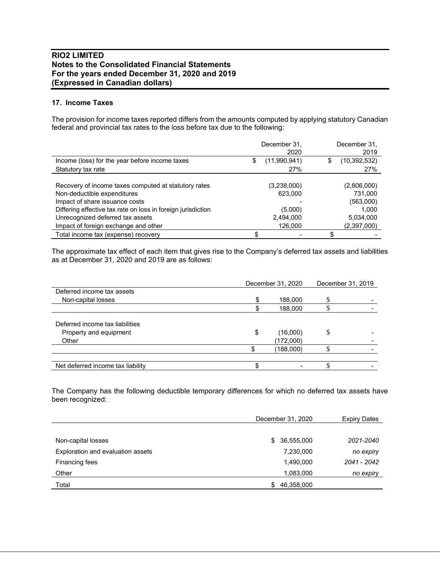# **17. Income Taxes**

The provision for income taxes reported differs from the amounts computed by applying statutory Canadian federal and provincial tax rates to the loss before tax due to the following:

|                                                              |    | December 31,<br>2020 |   | December 31,<br>2019 |
|--------------------------------------------------------------|----|----------------------|---|----------------------|
| Income (loss) for the year before income taxes               | \$ | (11,990,941)         | S | (10,392,532)         |
| Statutory tax rate                                           |    | 27%                  |   | 27%                  |
|                                                              |    |                      |   |                      |
| Recovery of income taxes computed at statutory rates         |    | (3,238,000)          |   | (2,806,000)          |
| Non-deductible expenditures                                  |    | 623,000              |   | 731.000              |
| Impact of share issuance costs                               |    |                      |   | (563,000)            |
| Differing effective tax rate on loss in foreign jurisdiction |    | (5,000)              |   | 1,000                |
| Unrecognized deferred tax assets                             |    | 2,494,000            |   | 5,034,000            |
| Impact of foreign exchange and other                         |    | 126,000              |   | (2,397,000)          |
| Total income tax (expense) recovery                          | S  |                      |   |                      |

The approximate tax effect of each item that gives rise to the Company's deferred tax assets and liabilities as at December 31, 2020 and 2019 are as follows:

|    | 188,000   |                   |                   |
|----|-----------|-------------------|-------------------|
|    | 188,000   |                   |                   |
|    |           |                   |                   |
| \$ | (16,000)  | S                 |                   |
|    | (172,000) |                   |                   |
| \$ | (188,000) |                   |                   |
|    |           |                   |                   |
|    |           | December 31, 2020 | December 31, 2019 |

The Company has the following deductible temporary differences for which no deferred tax assets have been recognized:

|                                   | December 31, 2020 | <b>Expiry Dates</b> |  |
|-----------------------------------|-------------------|---------------------|--|
|                                   |                   |                     |  |
| Non-capital losses                | \$36,555,000      | 2021-2040           |  |
| Exploration and evaluation assets | 7,230,000         | no expiry           |  |
| Financing fees                    | 1,490,000         | 2041 - 2042         |  |
| Other                             | 1,083,000         | no expiry           |  |
| Total                             | 46,358,000<br>\$. |                     |  |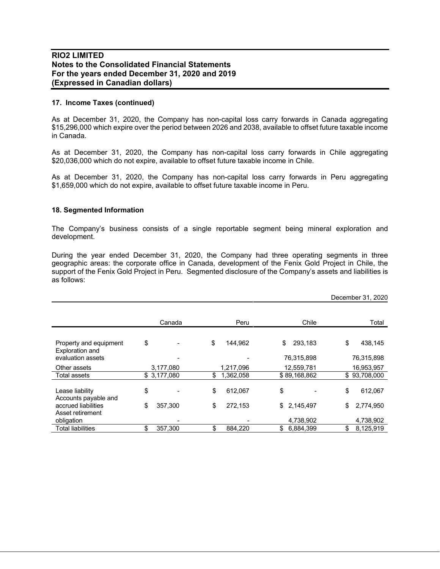## **17. Income Taxes (continued)**

As at December 31, 2020, the Company has non-capital loss carry forwards in Canada aggregating \$15,296,000 which expire over the period between 2026 and 2038, available to offset future taxable income in Canada.

As at December 31, 2020, the Company has non-capital loss carry forwards in Chile aggregating \$20,036,000 which do not expire, available to offset future taxable income in Chile.

As at December 31, 2020, the Company has non-capital loss carry forwards in Peru aggregating \$1,659,000 which do not expire, available to offset future taxable income in Peru.

#### **18. Segmented Information**

The Company's business consists of a single reportable segment being mineral exploration and development.

During the year ended December 31, 2020, the Company had three operating segments in three geographic areas: the corporate office in Canada, development of the Fenix Gold Project in Chile, the support of the Fenix Gold Project in Peru. Segmented disclosure of the Company's assets and liabilities is as follows:

|                                           |               |                 |                 | December 31, 2020 |
|-------------------------------------------|---------------|-----------------|-----------------|-------------------|
|                                           |               |                 |                 |                   |
|                                           | Canada        | Peru            | Chile           | Total             |
| Property and equipment<br>Exploration and | \$            | \$<br>144,962   | \$<br>293,183   | \$<br>438,145     |
| evaluation assets                         |               |                 | 76,315,898      | 76,315,898        |
| Other assets                              | 3,177,080     | 1,217,096       | 12,559,781      | 16,953,957        |
| Total assets                              | \$3,177,080   | \$<br>1,362,058 | \$89,168,862    | \$93,708,000      |
| Lease liability<br>Accounts payable and   | \$            | \$<br>612,067   | \$              | \$<br>612,067     |
| accrued liabilities                       | \$<br>357.300 | \$<br>272,153   | \$<br>2,145,497 | \$<br>2,774,950   |
| Asset retirement<br>obligation            |               |                 | 4,738,902       | 4,738,902         |
| <b>Total liabilities</b>                  | \$<br>357.300 | \$<br>884.220   | \$<br>6,884,399 | \$<br>8,125,919   |